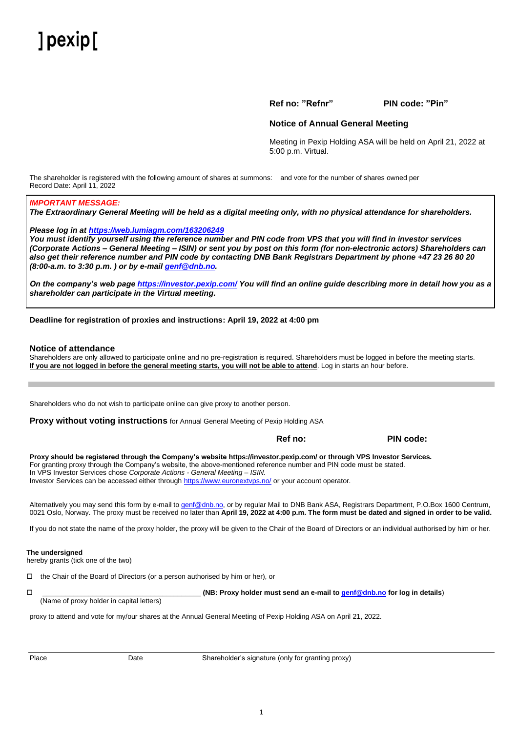# $l$  pexip  $l$

**Ref no: "Refnr" PIN code: "Pin"**

# **Notice of Annual General Meeting**

Meeting in Pexip Holding ASA will be held on April 21, 2022 at 5:00 p.m. Virtual.

The shareholder is registered with the following amount of shares at summons: and vote for the number of shares owned per Record Date: April 11, 2022

# *IMPORTANT MESSAGE:*

*The Extraordinary General Meeting will be held as a digital meeting only, with no physical attendance for shareholders.*

# *Please log in at [https://web.lumiagm.com/163206249](https://web.lumiagm.com/xxxxxxxxx)*

*You must identify yourself using the reference number and PIN code from VPS that you will find in investor services (Corporate Actions – General Meeting – ISIN) or sent you by post on this form (for non-electronic actors) Shareholders can also get their reference number and PIN code by contacting DNB Bank Registrars Department by phone +47 23 26 80 20 (8:00-a.m. to 3:30 p.m. ) or by e-mai[l genf@dnb.no.](mailto:genf@dnb.no)*

*On the company's web page<https://investor.pexip.com/> You will find an online guide describing more in detail how you as a shareholder can participate in the Virtual meeting.* 

# **Deadline for registration of proxies and instructions: April 19, 2022 at 4:00 pm**

### **Notice of attendance**

Shareholders are only allowed to participate online and no pre-registration is required. Shareholders must be logged in before the meeting starts. **If you are not logged in before the general meeting starts, you will not be able to attend**. Log in starts an hour before.

Shareholders who do not wish to participate online can give proxy to another person.

**Proxy without voting instructions** for Annual General Meeting of Pexip Holding ASA

 **Ref no: PIN code:**

**Proxy should be registered through the Company's website<https://investor.pexip.com/> or through VPS Investor Services.** For granting proxy through the Company's website, the above-mentioned reference number and PIN code must be stated. In VPS Investor Services chose *Corporate Actions - General Meeting – ISIN.* Investor Services can be accessed either throug[h https://www.euronextvps.no/](https://www.euronextvps.no/) or your account operator*.*

Alternatively you may send this form by e-mail t[o genf@dnb.no,](mailto:genf@dnb.no) or by regular Mail to DNB Bank ASA, Registrars Department, P.O.Box 1600 Centrum, 0021 Oslo, Norway. The proxy must be received no later than **April 19, 2022 at 4:00 p.m. The form must be dated and signed in order to be valid.**

If you do not state the name of the proxy holder, the proxy will be given to the Chair of the Board of Directors or an individual authorised by him or her.

### **The undersigned**

hereby grants (tick one of the two)

 $\Box$  the Chair of the Board of Directors (or a person authorised by him or her), or

 \_\_\_\_\_\_\_\_\_\_\_\_\_\_\_\_\_\_\_\_\_\_\_\_\_\_\_\_\_\_\_\_\_\_\_\_\_\_\_\_\_ **(NB: Proxy holder must send an e-mail t[o genf@dnb.no](mailto:genf@dnb.no) for log in details**) (Name of proxy holder in capital letters)

proxy to attend and vote for my/our shares at the Annual General Meeting of Pexip Holding ASA on April 21, 2022.